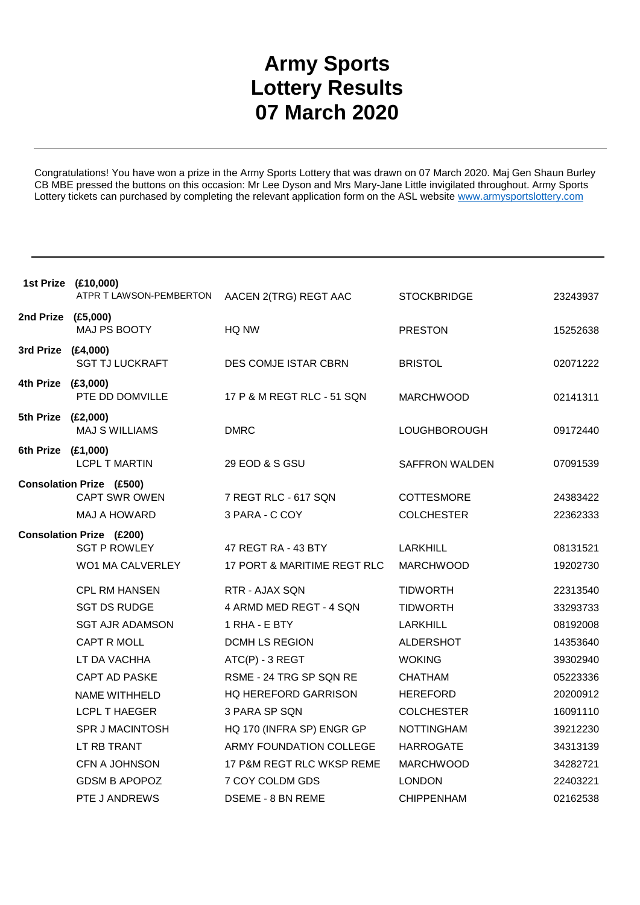## **Army Sports Lottery Results 07 March 2020**

Congratulations! You have won a prize in the Army Sports Lottery that was drawn on 07 March 2020. Maj Gen Shaun Burley CB MBE pressed the buttons on this occasion: Mr Lee Dyson and Mrs Mary-Jane Little invigilated throughout. Army Sports Lottery tickets can purchased by completing the relevant application form on the ASL website www.armysportslottery.com

|                    | 1st Prize (£10,000)<br>ATPR T LAWSON-PEMBERTON | AACEN 2(TRG) REGT AAC       | <b>STOCKBRIDGE</b>    | 23243937 |
|--------------------|------------------------------------------------|-----------------------------|-----------------------|----------|
| 2nd Prize (£5,000) |                                                |                             |                       |          |
|                    | MAJ PS BOOTY                                   | HQ NW                       | <b>PRESTON</b>        | 15252638 |
| 3rd Prize (£4,000) | <b>SGT TJ LUCKRAFT</b>                         | DES COMJE ISTAR CBRN        | <b>BRISTOL</b>        | 02071222 |
| 4th Prize (£3,000) | PTE DD DOMVILLE                                | 17 P & M REGT RLC - 51 SQN  | <b>MARCHWOOD</b>      | 02141311 |
| 5th Prize (£2,000) | <b>MAJ S WILLIAMS</b>                          | <b>DMRC</b>                 | LOUGHBOROUGH          | 09172440 |
| 6th Prize (£1,000) |                                                |                             |                       |          |
|                    | <b>LCPL T MARTIN</b>                           | 29 EOD & S GSU              | <b>SAFFRON WALDEN</b> | 07091539 |
|                    | <b>Consolation Prize (£500)</b>                |                             |                       |          |
|                    | <b>CAPT SWR OWEN</b>                           | 7 REGT RLC - 617 SQN        | COTTESMORE            | 24383422 |
|                    | MAJ A HOWARD                                   | 3 PARA - C COY              | <b>COLCHESTER</b>     | 22362333 |
|                    | <b>Consolation Prize (£200)</b>                |                             |                       |          |
|                    | <b>SGT P ROWLEY</b>                            | 47 REGT RA - 43 BTY         | LARKHILL              | 08131521 |
|                    | WO1 MA CALVERLEY                               | 17 PORT & MARITIME REGT RLC | <b>MARCHWOOD</b>      | 19202730 |
|                    | <b>CPL RM HANSEN</b>                           | RTR - AJAX SQN              | <b>TIDWORTH</b>       | 22313540 |
|                    | <b>SGT DS RUDGE</b>                            | 4 ARMD MED REGT - 4 SQN     | <b>TIDWORTH</b>       | 33293733 |
|                    | <b>SGT AJR ADAMSON</b>                         | 1 RHA - E BTY               | <b>LARKHILL</b>       | 08192008 |
|                    | CAPT R MOLL                                    | <b>DCMH LS REGION</b>       | <b>ALDERSHOT</b>      | 14353640 |
|                    | LT DA VACHHA                                   | ATC(P) - 3 REGT             | <b>WOKING</b>         | 39302940 |
|                    | CAPT AD PASKE                                  | RSME - 24 TRG SP SQN RE     | <b>CHATHAM</b>        | 05223336 |
|                    | <b>NAME WITHHELD</b>                           | <b>HQ HEREFORD GARRISON</b> | <b>HEREFORD</b>       | 20200912 |
|                    | <b>LCPL T HAEGER</b>                           | 3 PARA SP SQN               | <b>COLCHESTER</b>     | 16091110 |
|                    | <b>SPR J MACINTOSH</b>                         | HQ 170 (INFRA SP) ENGR GP   | <b>NOTTINGHAM</b>     | 39212230 |
|                    | LT RB TRANT                                    | ARMY FOUNDATION COLLEGE     | <b>HARROGATE</b>      | 34313139 |
|                    | CFN A JOHNSON                                  | 17 P&M REGT RLC WKSP REME   | <b>MARCHWOOD</b>      | 34282721 |
|                    | <b>GDSM B APOPOZ</b>                           | 7 COY COLDM GDS             | <b>LONDON</b>         | 22403221 |
|                    | PTE J ANDREWS                                  | <b>DSEME - 8 BN REME</b>    | <b>CHIPPENHAM</b>     | 02162538 |